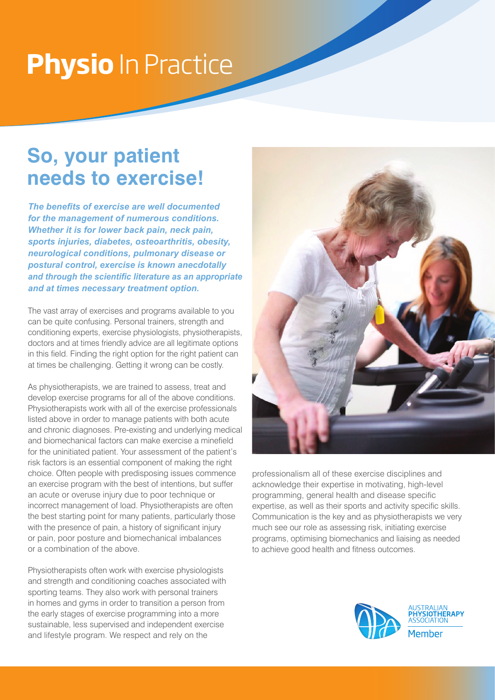# **Physio** In Practice

### **So, your patient needs to exercise!**

*The benefits of exercise are well documented for the management of numerous conditions. Whether it is for lower back pain, neck pain, sports injuries, diabetes, osteoarthritis, obesity, neurological conditions, pulmonary disease or postural control, exercise is known anecdotally and through the scientific literature as an appropriate and at times necessary treatment option.* 

The vast array of exercises and programs available to you can be quite confusing. Personal trainers, strength and conditioning experts, exercise physiologists, physiotherapists, doctors and at times friendly advice are all legitimate options in this field. Finding the right option for the right patient can at times be challenging. Getting it wrong can be costly.

As physiotherapists, we are trained to assess, treat and develop exercise programs for all of the above conditions. Physiotherapists work with all of the exercise professionals listed above in order to manage patients with both acute and chronic diagnoses. Pre-existing and underlying medical and biomechanical factors can make exercise a minefield for the uninitiated patient. Your assessment of the patient's risk factors is an essential component of making the right choice. Often people with predisposing issues commence an exercise program with the best of intentions, but suffer an acute or overuse injury due to poor technique or incorrect management of load. Physiotherapists are often the best starting point for many patients, particularly those with the presence of pain, a history of significant injury or pain, poor posture and biomechanical imbalances or a combination of the above.

Physiotherapists often work with exercise physiologists and strength and conditioning coaches associated with sporting teams. They also work with personal trainers in homes and gyms in order to transition a person from the early stages of exercise programming into a more sustainable, less supervised and independent exercise and lifestyle program. We respect and rely on the



professionalism all of these exercise disciplines and acknowledge their expertise in motivating, high-level programming, general health and disease specific expertise, as well as their sports and activity specific skills. Communication is the key and as physiotherapists we very much see our role as assessing risk, initiating exercise programs, optimising biomechanics and liaising as needed to achieve good health and fitness outcomes.